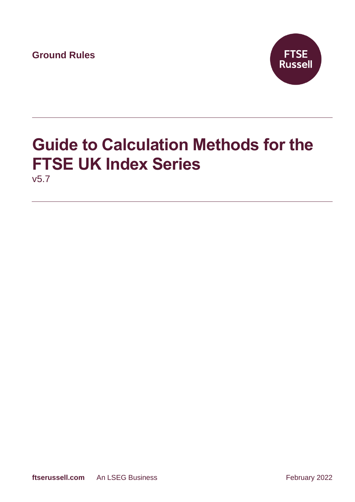**Ground Rules**



# **Guide to Calculation Methods for the FTSE UK Index Series** v5.7

**ftserussell.com** An LSEG Business **February 2022**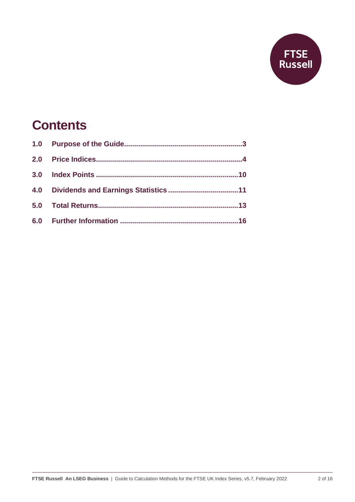

## **Contents**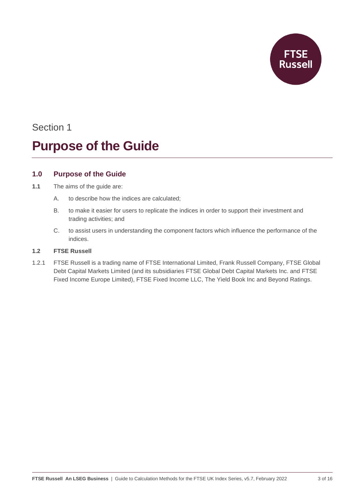

## Section 1

## **Purpose of the Guide**

## <span id="page-2-0"></span>**1.0 Purpose of the Guide**

- **1.1** The aims of the guide are:
	- A. to describe how the indices are calculated;
	- B. to make it easier for users to replicate the indices in order to support their investment and trading activities; and
	- C. to assist users in understanding the component factors which influence the performance of the indices.

## **1.2 FTSE Russell**

1.2.1 FTSE Russell is a trading name of FTSE International Limited, Frank Russell Company, FTSE Global Debt Capital Markets Limited (and its subsidiaries FTSE Global Debt Capital Markets Inc. and FTSE Fixed Income Europe Limited), FTSE Fixed Income LLC, The Yield Book Inc and Beyond Ratings.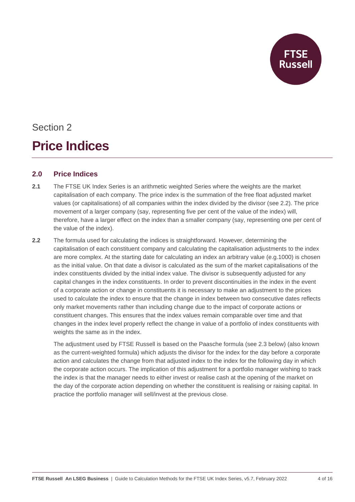**Russell** 

# Section 2 **Price Indices**

## <span id="page-3-0"></span>**2.0 Price Indices**

- **2.1** The FTSE UK Index Series is an arithmetic weighted Series where the weights are the market capitalisation of each company. The price index is the summation of the free float adjusted market values (or capitalisations) of all companies within the index divided by the divisor (see 2.2). The price movement of a larger company (say, representing five per cent of the value of the index) will, therefore, have a larger effect on the index than a smaller company (say, representing one per cent of the value of the index).
- **2.2** The formula used for calculating the indices is straightforward. However, determining the capitalisation of each constituent company and calculating the capitalisation adjustments to the index are more complex. At the starting date for calculating an index an arbitrary value (e.g.1000) is chosen as the initial value. On that date a divisor is calculated as the sum of the market capitalisations of the index constituents divided by the initial index value. The divisor is subsequently adjusted for any capital changes in the index constituents. In order to prevent discontinuities in the index in the event of a corporate action or change in constituents it is necessary to make an adjustment to the prices used to calculate the index to ensure that the change in index between two consecutive dates reflects only market movements rather than including change due to the impact of corporate actions or constituent changes. This ensures that the index values remain comparable over time and that changes in the index level properly reflect the change in value of a portfolio of index constituents with weights the same as in the index.

The adjustment used by FTSE Russell is based on the Paasche formula (see 2.3 below) (also known as the current-weighted formula) which adjusts the divisor for the index for the day before a corporate action and calculates the change from that adjusted index to the index for the following day in which the corporate action occurs. The implication of this adjustment for a portfolio manager wishing to track the index is that the manager needs to either invest or realise cash at the opening of the market on the day of the corporate action depending on whether the constituent is realising or raising capital. In practice the portfolio manager will sell/invest at the previous close.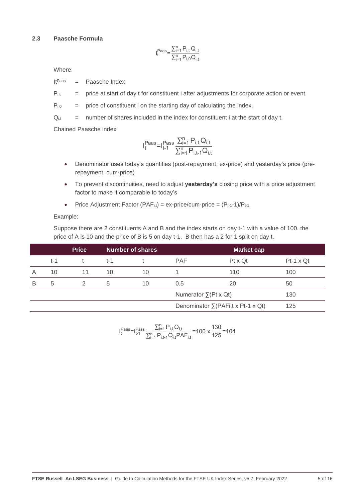#### **2.3 Paasche Formula**

$$
I_t^{Paas} = \frac{\sum_{i=1}^{n} P_{i,t} Q_{i,t}}{\sum_{i=1}^{n} P_{i,0} Q_{i,t}}
$$

Where:

ItPaas = Paasche Index

 $P_{i,t}$  = price at start of day t for constituent i after adjustments for corporate action or event.

 $P_{i,0}$  = price of constituent i on the starting day of calculating the index.

 $Q_{i,t}$  = number of shares included in the index for constituent i at the start of day t.

Chained Paasche index

$$
I_{t}^{\text{Paas}}\text{=}I_{t\text{-}1}^{\text{Pass}}\frac{\sum_{i=1}^{n}P_{i,t}Q_{i,t}}{\sum_{i=1}^{n}P_{i,t\text{-}1}Q_{i,t}}
$$

- Denominator uses today's quantities (post-repayment, ex-price) and yesterday's price (prerepayment, cum-price)
- To prevent discontinuities, need to adjust **yesterday's** closing price with a price adjustment factor to make it comparable to today's
- Price Adjustment Factor (PAF<sub>i,t</sub>) = ex-price/cum-price =  $(P_{t-1}-1)/P_{t-1}$

Example:

Suppose there are 2 constituents A and B and the index starts on day t-1 with a value of 100. the price of A is 10 and the price of B is 5 on day t-1. B then has a 2 for 1 split on day t.

|   |     | <b>Price</b> |     | <b>Number of shares</b> |                                           |                |                  |
|---|-----|--------------|-----|-------------------------|-------------------------------------------|----------------|------------------|
|   | t-1 |              | t-1 |                         | <b>PAF</b>                                | $Pt \times Qt$ | $Pt-1 \times Qt$ |
| A | 10  | 11           | 10  | 10                      |                                           | 110            | 100              |
| В | 5   |              | 5   | 10                      | 0.5                                       | 20             | 50               |
|   |     |              |     |                         | Numerator $\sum (Pt \times Qt)$           |                | 130              |
|   |     |              |     |                         | Denominator $\Sigma$ (PAFi,t x Pt-1 x Qt) |                | 125              |

$$
I_{t}^{\text{Paas}}\text{=}I_{t\text{-}1}^{\text{Paas}}\frac{\sum_{i=1}^{n}P_{i,t}Q_{i,t}}{\sum_{i=1}^{n}P_{i,t}\text{-}Q_{i,t}\text{-}PAF_{i,t}}\text{=100 x}\frac{\text{130}}{\text{125}}\text{=104}
$$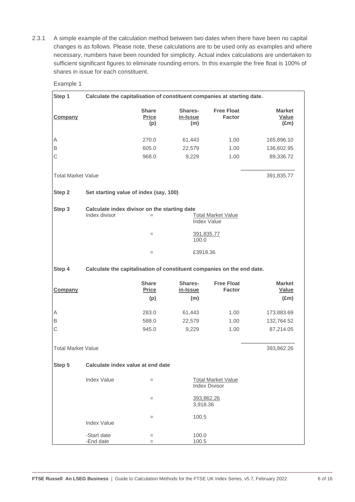2.3.1 A simple example of the calculation method between two dates when there have been no capital changes is as follows. Please note, these calculations are to be used only as examples and where necessary, numbers have been rounded for simplicity. Actual index calculations are undertaken to sufficient significant figures to eliminate rounding errors. In this example the free float is 100% of shares in issue for each constituent.

Example 1

| Step 1                    | Calculate the capitalisation of constituent companies at starting date. |                                     |                            |                                                                        |                                                |  |
|---------------------------|-------------------------------------------------------------------------|-------------------------------------|----------------------------|------------------------------------------------------------------------|------------------------------------------------|--|
| <b>Company</b>            |                                                                         | <b>Share</b><br><b>Price</b><br>(p) | Shares-<br>in-Issue<br>(m) | <b>Free Float</b><br><b>Factor</b>                                     | <b>Market</b><br><b>Value</b><br>$(\text{Em})$ |  |
| Α                         |                                                                         | 270.0                               | 61,443                     | 1.00                                                                   | 165,896.10                                     |  |
| B                         |                                                                         | 605.0                               | 22,579                     | 1.00                                                                   | 136,602.95                                     |  |
| C                         |                                                                         | 968.0                               | 9,229                      | 1.00                                                                   | 89,336.72                                      |  |
| <b>Total Market Value</b> |                                                                         |                                     |                            |                                                                        | 391,835.77                                     |  |
| Step 2                    | Set starting value of index (say, 100)                                  |                                     |                            |                                                                        |                                                |  |
| Step 3                    | Calculate index divisor on the starting date<br>Index divisor           | $=$                                 |                            | <b>Total Market Value</b><br><b>Index Value</b>                        |                                                |  |
|                           |                                                                         | $=$                                 | 391,835.77<br>100.0        |                                                                        |                                                |  |
|                           |                                                                         | $=$                                 | £3918.36                   |                                                                        |                                                |  |
| Step 4                    |                                                                         |                                     |                            | Calculate the capitalisation of constituent companies on the end date. |                                                |  |
| Company                   |                                                                         | <b>Share</b><br><b>Price</b>        | Shares-<br>in-Issue        | <b>Free Float</b><br><b>Factor</b>                                     | <b>Market</b><br><b>Value</b>                  |  |
|                           |                                                                         | (p)                                 | (m)                        |                                                                        | $(\text{Em})$                                  |  |
| Α                         |                                                                         | 283.0                               | 61,443                     | 1.00                                                                   | 173,883.69                                     |  |
| B                         |                                                                         | 588.0                               | 22,579                     | 1.00                                                                   | 132,764.52                                     |  |
| C                         |                                                                         | 945.0                               | 9,229                      | 1.00                                                                   | 87,214.05                                      |  |
| <b>Total Market Value</b> |                                                                         |                                     |                            |                                                                        | 393,862.26                                     |  |
| Step 5                    | Calculate index value at end date                                       |                                     |                            |                                                                        |                                                |  |
|                           | <b>Index Value</b>                                                      | $=$                                 |                            | <b>Total Market Value</b><br><b>Index Divisor</b>                      |                                                |  |
|                           |                                                                         | $=$                                 | 3,918.36                   | 393,862.26                                                             |                                                |  |
|                           | <b>Index Value</b>                                                      | $=$                                 | 100.5                      |                                                                        |                                                |  |
|                           |                                                                         |                                     |                            |                                                                        |                                                |  |
|                           | -Start date<br>-End date                                                | $=$<br>$=$                          | 100.0<br>100.5             |                                                                        |                                                |  |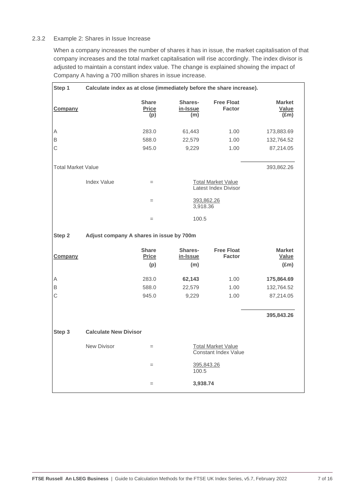### 2.3.2 Example 2: Shares in Issue Increase

When a company increases the number of shares it has in issue, the market capitalisation of that company increases and the total market capitalisation will rise accordingly. The index divisor is adjusted to maintain a constant index value. The change is explained showing the impact of Company A having a 700 million shares in issue increase.

| Step 1                    | Calculate index as at close (immediately before the share increase). |                                     |                            |                                                          |                                                |  |  |
|---------------------------|----------------------------------------------------------------------|-------------------------------------|----------------------------|----------------------------------------------------------|------------------------------------------------|--|--|
| Company                   |                                                                      | <b>Share</b><br><b>Price</b><br>(p) | Shares-<br>in-Issue<br>(m) | <b>Free Float</b><br><b>Factor</b>                       | <b>Market</b><br>Value<br>$(\text{Em})$        |  |  |
| Α                         |                                                                      | 283.0                               | 61,443                     | 1.00                                                     | 173,883.69                                     |  |  |
| $\mathsf B$               |                                                                      | 588.0                               | 22,579                     | 1.00                                                     | 132,764.52                                     |  |  |
| $\mathsf C$               |                                                                      | 945.0                               | 9,229                      | 1.00                                                     | 87,214.05                                      |  |  |
| <b>Total Market Value</b> |                                                                      |                                     |                            |                                                          | 393,862.26                                     |  |  |
|                           | <b>Index Value</b>                                                   | $=$                                 |                            | <b>Total Market Value</b><br>Latest Index Divisor        |                                                |  |  |
|                           |                                                                      | $=$                                 | 393,862.26<br>3,918.36     |                                                          |                                                |  |  |
|                           |                                                                      | $=$                                 | 100.5                      |                                                          |                                                |  |  |
| Step 2                    | Adjust company A shares in issue by 700m                             |                                     |                            |                                                          |                                                |  |  |
| <b>Company</b>            |                                                                      | <b>Share</b><br><b>Price</b><br>(p) | Shares-<br>in-Issue<br>(m) | <b>Free Float</b><br><b>Factor</b>                       | <b>Market</b><br><b>Value</b><br>$(\text{Em})$ |  |  |
| Α                         |                                                                      | 283.0                               | 62,143                     | 1.00                                                     | 175,864.69                                     |  |  |
| $\mathsf B$               |                                                                      | 588.0                               | 22,579                     | 1.00                                                     | 132,764.52                                     |  |  |
| C                         |                                                                      | 945.0                               | 9,229                      | 1.00                                                     | 87,214.05                                      |  |  |
|                           |                                                                      |                                     |                            |                                                          | 395,843.26                                     |  |  |
| Step 3                    | <b>Calculate New Divisor</b>                                         |                                     |                            |                                                          |                                                |  |  |
|                           | New Divisor                                                          | $=$                                 |                            | <b>Total Market Value</b><br><b>Constant Index Value</b> |                                                |  |  |
|                           |                                                                      | $=$                                 | 395,843.26<br>100.5        |                                                          |                                                |  |  |
|                           |                                                                      | $=$                                 | 3,938.74                   |                                                          |                                                |  |  |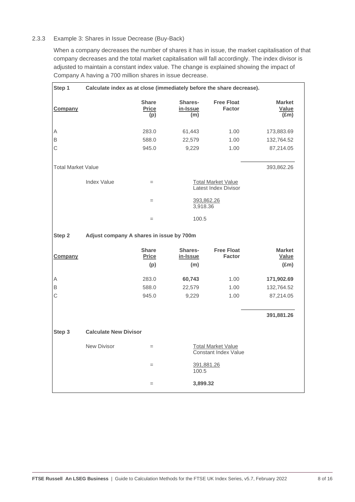### 2.3.3 Example 3: Shares in Issue Decrease (Buy-Back)

When a company decreases the number of shares it has in issue, the market capitalisation of that company decreases and the total market capitalisation will fall accordingly. The index divisor is adjusted to maintain a constant index value. The change is explained showing the impact of Company A having a 700 million shares in issue decrease.

| Step 1                    | Calculate index as at close (immediately before the share decrease). |                                     |                            |                                                          |                                                |  |  |
|---------------------------|----------------------------------------------------------------------|-------------------------------------|----------------------------|----------------------------------------------------------|------------------------------------------------|--|--|
| <b>Company</b>            |                                                                      | <b>Share</b><br><b>Price</b><br>(p) | Shares-<br>in-Issue<br>(m) | <b>Free Float</b><br><b>Factor</b>                       | <b>Market</b><br><u>Value</u><br>$(\text{Em})$ |  |  |
| Α                         |                                                                      | 283.0                               | 61,443                     | 1.00                                                     | 173,883.69                                     |  |  |
| $\mathsf B$               |                                                                      | 588.0                               | 22,579                     | 1.00                                                     | 132,764.52                                     |  |  |
| C                         |                                                                      | 945.0                               | 9,229                      | 1.00                                                     | 87,214.05                                      |  |  |
| <b>Total Market Value</b> |                                                                      |                                     |                            |                                                          | 393,862.26                                     |  |  |
|                           | <b>Index Value</b>                                                   | $=$                                 |                            | <b>Total Market Value</b><br>Latest Index Divisor        |                                                |  |  |
|                           |                                                                      | $=$                                 | 393,862.26<br>3,918.36     |                                                          |                                                |  |  |
|                           |                                                                      | $=$                                 | 100.5                      |                                                          |                                                |  |  |
| Step 2                    | Adjust company A shares in issue by 700m                             |                                     |                            |                                                          |                                                |  |  |
| <b>Company</b>            |                                                                      | <b>Share</b><br><b>Price</b><br>(p) | Shares-<br>in-Issue<br>(m) | <b>Free Float</b><br><b>Factor</b>                       | <b>Market</b><br><b>Value</b><br>$(\text{Em})$ |  |  |
| Α                         |                                                                      | 283.0                               | 60,743                     | 1.00                                                     | 171,902.69                                     |  |  |
| B                         |                                                                      | 588.0                               | 22,579                     | 1.00                                                     | 132,764.52                                     |  |  |
| C                         |                                                                      | 945.0                               | 9,229                      | 1.00                                                     | 87,214.05                                      |  |  |
|                           |                                                                      |                                     |                            |                                                          | 391,881.26                                     |  |  |
| Step 3                    | <b>Calculate New Divisor</b>                                         |                                     |                            |                                                          |                                                |  |  |
|                           | <b>New Divisor</b>                                                   | $=$                                 |                            | <b>Total Market Value</b><br><b>Constant Index Value</b> |                                                |  |  |
|                           |                                                                      | $=$                                 | 391,881.26<br>100.5        |                                                          |                                                |  |  |
|                           |                                                                      | $=$                                 | 3,899.32                   |                                                          |                                                |  |  |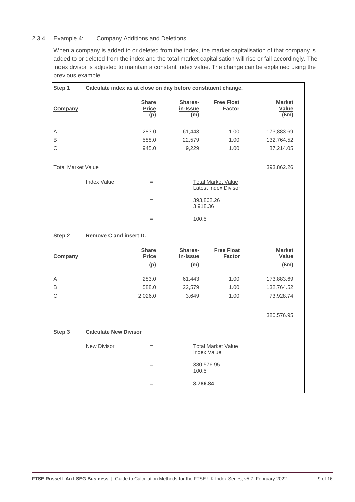## 2.3.4 Example 4: Company Additions and Deletions

When a company is added to or deleted from the index, the market capitalisation of that company is added to or deleted from the index and the total market capitalisation will rise or fall accordingly. The index divisor is adjusted to maintain a constant index value. The change can be explained using the previous example.

| Step 1                    | Calculate index as at close on day before constituent change. |                                     |                            |                                                   |                                                |  |  |
|---------------------------|---------------------------------------------------------------|-------------------------------------|----------------------------|---------------------------------------------------|------------------------------------------------|--|--|
| <b>Company</b>            |                                                               | <b>Share</b><br><b>Price</b><br>(p) | Shares-<br>in-Issue<br>(m) | <b>Free Float</b><br><b>Factor</b>                | <b>Market</b><br><u>Value</u><br>$(\text{Em})$ |  |  |
| Α                         |                                                               | 283.0                               | 61,443                     | 1.00                                              | 173,883.69                                     |  |  |
| $\mathsf B$               |                                                               | 588.0                               | 22,579                     | 1.00                                              | 132,764.52                                     |  |  |
| C                         |                                                               | 945.0                               | 9,229                      | 1.00                                              | 87,214.05                                      |  |  |
| <b>Total Market Value</b> |                                                               |                                     |                            |                                                   | 393,862.26                                     |  |  |
|                           | <b>Index Value</b>                                            | $=$                                 |                            | <b>Total Market Value</b><br>Latest Index Divisor |                                                |  |  |
|                           |                                                               | $=$                                 | 393,862.26<br>3,918.36     |                                                   |                                                |  |  |
|                           |                                                               | $=$                                 | 100.5                      |                                                   |                                                |  |  |
| Step 2                    | Remove C and insert D.                                        |                                     |                            |                                                   |                                                |  |  |
| <b>Company</b>            |                                                               | <b>Share</b><br><b>Price</b><br>(p) | Shares-<br>in-Issue<br>(m) | <b>Free Float</b><br><b>Factor</b>                | <b>Market</b><br><b>Value</b><br>$(\text{Em})$ |  |  |
| Α                         |                                                               | 283.0                               | 61,443                     | 1.00                                              | 173,883.69                                     |  |  |
| $\mathsf B$               |                                                               | 588.0                               | 22,579                     | 1.00                                              | 132,764.52                                     |  |  |
| $\mathsf{C}$              |                                                               | 2,026.0                             | 3,649                      | 1.00                                              | 73,928.74                                      |  |  |
|                           |                                                               |                                     |                            |                                                   | 380,576.95                                     |  |  |
| Step 3                    | <b>Calculate New Divisor</b>                                  |                                     |                            |                                                   |                                                |  |  |
|                           | <b>New Divisor</b>                                            | $=$                                 |                            | <b>Total Market Value</b><br><b>Index Value</b>   |                                                |  |  |
|                           |                                                               | $=$                                 | 380,576.95<br>100.5        |                                                   |                                                |  |  |
|                           |                                                               | $=$                                 | 3,786.84                   |                                                   |                                                |  |  |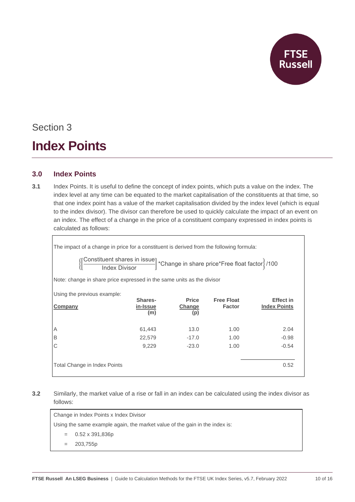

## Section 3 **Index Points**

## <span id="page-9-0"></span>**3.0 Index Points**

**3.1** Index Points. It is useful to define the concept of index points, which puts a value on the index. The index level at any time can be equated to the market capitalisation of the constituents at that time, so that one index point has a value of the market capitalisation divided by the index level (which is equal to the index divisor). The divisor can therefore be used to quickly calculate the impact of an event on an index. The effect of a change in the price of a constituent company expressed in index points is calculated as follows:

| The impact of a change in price for a constituent is derived from the following formula: |                                    |                                         |      |         |  |  |  |  |
|------------------------------------------------------------------------------------------|------------------------------------|-----------------------------------------|------|---------|--|--|--|--|
| "Constituent shares in issue]<br>Index Divisor (Change in share price*Free float factor) |                                    |                                         |      |         |  |  |  |  |
| Note: change in share price expressed in the same units as the divisor                   |                                    |                                         |      |         |  |  |  |  |
| Using the previous example:<br>Company                                                   | <b>Free Float</b><br><b>Factor</b> | <b>Effect in</b><br><b>Index Points</b> |      |         |  |  |  |  |
| Α                                                                                        | 61,443                             | 13.0                                    | 1.00 | 2.04    |  |  |  |  |
| B                                                                                        | 22,579                             | $-17.0$                                 | 1.00 | $-0.98$ |  |  |  |  |
| С                                                                                        | 9,229                              | $-23.0$                                 | 1.00 | $-0.54$ |  |  |  |  |
| 0.52<br>Total Change in Index Points                                                     |                                    |                                         |      |         |  |  |  |  |

**3.2** Similarly, the market value of a rise or fall in an index can be calculated using the index divisor as follows:

Change in Index Points x Index Divisor Using the same example again, the market value of the gain in the index is:

- $=$  0.52 x 391,836p
- = 203,755p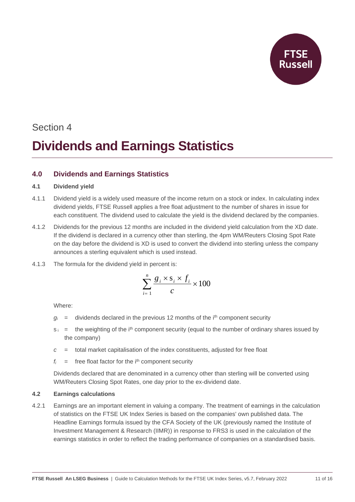

# Section 4 **Dividends and Earnings Statistics**

## <span id="page-10-0"></span>**4.0 Dividends and Earnings Statistics**

## **4.1 Dividend yield**

- 4.1.1 Dividend yield is a widely used measure of the income return on a stock or index. In calculating index dividend yields, FTSE Russell applies a free float adjustment to the number of shares in issue for each constituent. The dividend used to calculate the yield is the dividend declared by the companies.
- 4.1.2 Dividends for the previous 12 months are included in the dividend yield calculation from the XD date. If the dividend is declared in a currency other than sterling, the 4pm WM/Reuters Closing Spot Rate on the day before the dividend is XD is used to convert the dividend into sterling unless the company announces a sterling equivalent which is used instead.
- 4.1.3 The formula for the dividend yield in percent is:

$$
\sum_{i=1}^{n} \frac{g_i \times s_i \times f_i}{c} \times 100
$$

Where:

- $g_i$  = dividends declared in the previous 12 months of the i<sup>th</sup> component security
- $s_i$  = the weighting of the i<sup>th</sup> component security (equal to the number of ordinary shares issued by the company)
- $c =$  total market capitalisation of the index constituents, adjusted for free float
- $f_i$  = free float factor for the  $i<sup>th</sup>$  component security

Dividends declared that are denominated in a currency other than sterling will be converted using WM/Reuters Closing Spot Rates, one day prior to the ex-dividend date.

### **4.2 Earnings calculations**

4.2.1 Earnings are an important element in valuing a company. The treatment of earnings in the calculation of statistics on the FTSE UK Index Series is based on the companies' own published data. The Headline Earnings formula issued by the CFA Society of the UK (previously named the Institute of Investment Management & Research (IIMR)) in response to FRS3 is used in the calculation of the earnings statistics in order to reflect the trading performance of companies on a standardised basis.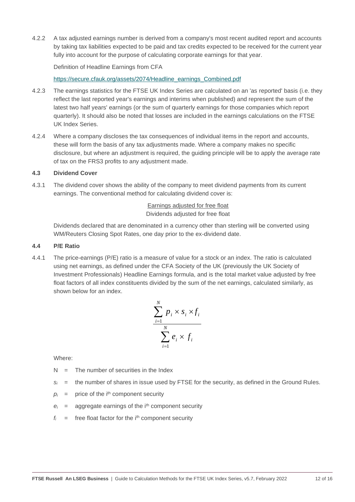4.2.2 A tax adjusted earnings number is derived from a company's most recent audited report and accounts by taking tax liabilities expected to be paid and tax credits expected to be received for the current year fully into account for the purpose of calculating corporate earnings for that year.

Definition of Headline Earnings from CFA

[https://secure.cfauk.org/assets/2074/Headline\\_earnings\\_Combined.pdf](https://secure.cfauk.org/assets/2074/Headline_earnings_Combined.pdf)

- 4.2.3 The earnings statistics for the FTSE UK Index Series are calculated on an 'as reported' basis (i.e. they reflect the last reported year's earnings and interims when published) and represent the sum of the latest two half years' earnings (or the sum of quarterly earnings for those companies which report quarterly). It should also be noted that losses are included in the earnings calculations on the FTSE UK Index Series.
- 4.2.4 Where a company discloses the tax consequences of individual items in the report and accounts, these will form the basis of any tax adjustments made. Where a company makes no specific disclosure, but where an adjustment is required, the guiding principle will be to apply the average rate of tax on the FRS3 profits to any adjustment made.

## **4.3 Dividend Cover**

4.3.1 The dividend cover shows the ability of the company to meet dividend payments from its current earnings. The conventional method for calculating dividend cover is:

> Earnings adjusted for free float Dividends adjusted for free float

Dividends declared that are denominated in a currency other than sterling will be converted using WM/Reuters Closing Spot Rates, one day prior to the ex-dividend date.

### **4.4 P/E Ratio**

4.4.1 The price-earnings (P/E) ratio is a measure of value for a stock or an index. The ratio is calculated using net earnings, as defined under the CFA Society of the UK (previously the UK Society of Investment Professionals) Headline Earnings formula, and is the total market value adjusted by free float factors of all index constituents divided by the sum of the net earnings, calculated similarly, as shown below for an index.

$$
\frac{\sum_{i=1}^{N} p_i \times s_i \times f_i}{\sum_{i=1}^{N} e_i \times f_i}
$$

Where:

- $N =$  The number of securities in the Index
- $s_i$  = the number of shares in issue used by FTSE for the security, as defined in the Ground Rules.
- $p_i$  = price of the  $i<sup>th</sup>$  component security
- $e_i$  = aggregate earnings of the i<sup>th</sup> component security
- $f_i$  = free float factor for the  $i<sup>th</sup>$  component security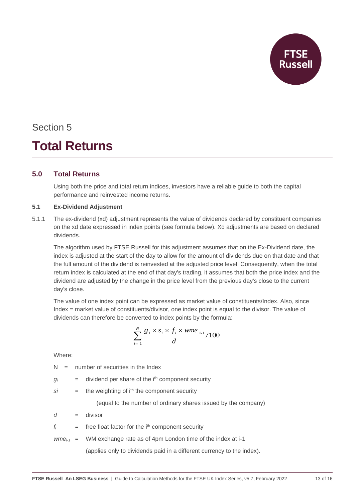

## Section 5 **Total Returns**

## <span id="page-12-0"></span>**5.0 Total Returns**

Using both the price and total return indices, investors have a reliable guide to both the capital performance and reinvested income returns.

## **5.1 Ex-Dividend Adjustment**

5.1.1 The ex-dividend (xd) adjustment represents the value of dividends declared by constituent companies on the xd date expressed in index points (see formula below). Xd adjustments are based on declared dividends.

The algorithm used by FTSE Russell for this adjustment assumes that on the Ex-Dividend date, the index is adjusted at the start of the day to allow for the amount of dividends due on that date and that the full amount of the dividend is reinvested at the adjusted price level. Consequently, when the total return index is calculated at the end of that day's trading, it assumes that both the price index and the dividend are adjusted by the change in the price level from the previous day's close to the current day's close.

The value of one index point can be expressed as market value of constituents/Index. Also, since Index = market value of constituents/divisor, one index point is equal to the divisor. The value of dividends can therefore be converted to index points by the formula:

$$
\sum_{i=1}^{N} \frac{g_i \times s_i \times f_i \times \textit{wme}_{i+1}}{d} / 100
$$

Where:

- $N =$  number of securities in the Index
- $g_i$  = dividend per share of the i<sup>th</sup> component security
- $si =$  the weighting of  $i<sup>th</sup>$  the component security

(equal to the number of ordinary shares issued by the company)

- *d* = divisor
- $f_i$  = free float factor for the  $i<sup>th</sup>$  component security
- *wmei-1* = WM exchange rate as of 4pm London time of the index at i-1

(applies only to dividends paid in a different currency to the index).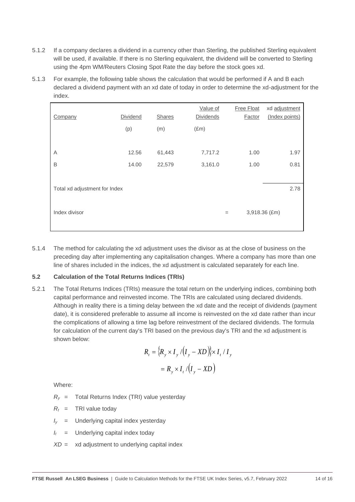- 5.1.2 If a company declares a dividend in a currency other than Sterling, the published Sterling equivalent will be used, if available. If there is no Sterling equivalent, the dividend will be converted to Sterling using the 4pm WM/Reuters Closing Spot Rate the day before the stock goes xd.
- 5.1.3 For example, the following table shows the calculation that would be performed if A and B each declared a dividend payment with an xd date of today in order to determine the xd-adjustment for the index.

| Company                       | Dividend | <b>Shares</b> | Value of<br>Dividends | <b>Free Float</b><br>Factor | xd adjustment<br>(Index points) |
|-------------------------------|----------|---------------|-----------------------|-----------------------------|---------------------------------|
|                               | (p)      | (m)           | $(\text{Em})$         |                             |                                 |
|                               |          |               |                       |                             |                                 |
| A                             | 12.56    | 61,443        | 7,717.2               | 1.00                        | 1.97                            |
| B                             | 14.00    | 22,579        | 3,161.0               | 1.00                        | 0.81                            |
|                               |          |               |                       |                             |                                 |
| Total xd adjustment for Index |          |               |                       |                             | 2.78                            |
|                               |          |               |                       |                             |                                 |
| Index divisor                 |          |               |                       | $=$                         | 3,918.36 (£m)                   |
|                               |          |               |                       |                             |                                 |

5.1.4 The method for calculating the xd adjustment uses the divisor as at the close of business on the preceding day after implementing any capitalisation changes. Where a company has more than one line of shares included in the indices, the xd adjustment is calculated separately for each line.

### **5.2 Calculation of the Total Returns Indices (TRIs)**

5.2.1 The Total Returns Indices (TRIs) measure the total return on the underlying indices, combining both capital performance and reinvested income. The TRIs are calculated using declared dividends. Although in reality there is a timing delay between the xd date and the receipt of dividends (payment date), it is considered preferable to assume all income is reinvested on the xd date rather than incur the complications of allowing a time lag before reinvestment of the declared dividends. The formula for calculation of the current day's TRI based on the previous day's TRI and the xd adjustment is shown below:

$$
R_t = \left\{ R_y \times I_y / (I_y - XD) \right\} \times I_t / I_y
$$

$$
= R_y \times I_t / (I_y - XD)
$$

Where:

- $R_y$  = Total Returns Index (TRI) value yesterday
- $R_t$  = TRI value today
- $I_V$  = Underlying capital index yesterday
- $I_t$  = Underlying capital index today
- *XD* = xd adjustment to underlying capital index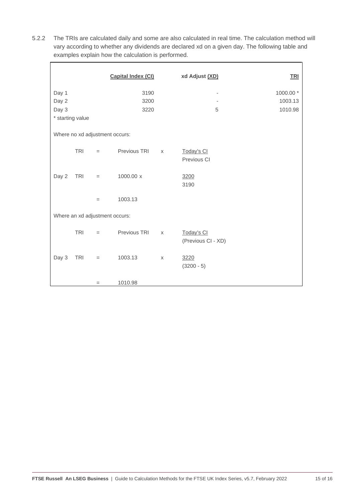5.2.2 The TRIs are calculated daily and some are also calculated in real time. The calculation method will vary according to whether any dividends are declared xd on a given day. The following table and examples explain how the calculation is performed.

|                                   |            |     | <b>Capital Index (CI)</b>      |              | xd Adjust (XD)                   | <b>TRI</b>           |
|-----------------------------------|------------|-----|--------------------------------|--------------|----------------------------------|----------------------|
| Day 1<br>Day 2                    |            |     | 3190<br>3200                   |              |                                  | 1000.00 *<br>1003.13 |
| Day 3<br>3220<br>* starting value |            |     | 5                              | 1010.98      |                                  |                      |
|                                   |            |     | Where no xd adjustment occurs: |              |                                  |                      |
|                                   | <b>TRI</b> | $=$ | Previous TRI                   | $\mathsf{X}$ | Today's CI<br>Previous CI        |                      |
| Day 2                             | <b>TRI</b> | $=$ | 1000.00 x                      |              | 3200<br>3190                     |                      |
|                                   |            | $=$ | 1003.13                        |              |                                  |                      |
|                                   |            |     | Where an xd adjustment occurs: |              |                                  |                      |
|                                   | <b>TRI</b> | $=$ | Previous TRI                   | X            | Today's CI<br>(Previous CI - XD) |                      |
| Day 3                             | <b>TRI</b> | $=$ | 1003.13                        | X            | 3220<br>$(3200 - 5)$             |                      |
|                                   |            | $=$ | 1010.98                        |              |                                  |                      |